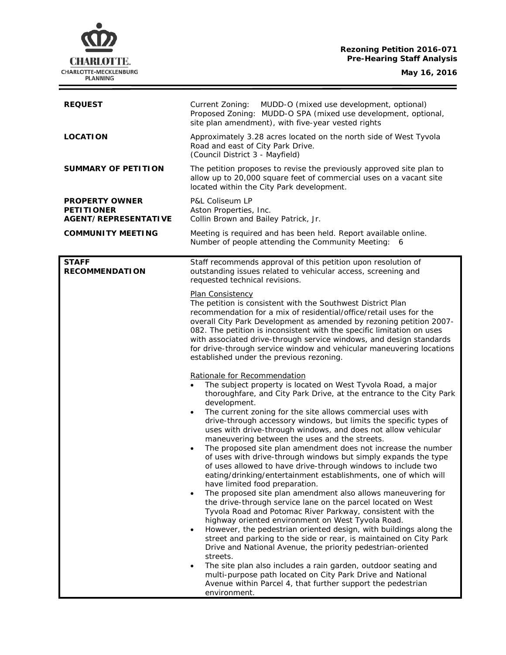## **Rezoning Petition 2016-071 Pre-Hearing Staff Analysis**

**CHARLOTTE.** CHARLOTTE-MECKLENBURG<br>PLANNING

**May 16, 2016**

 $\equiv$ 

| <b>REQUEST</b>                                                            | Current Zoning:<br>MUDD-O (mixed use development, optional)<br>Proposed Zoning: MUDD-O SPA (mixed use development, optional,<br>site plan amendment), with five-year vested rights                                                                                                                                                                                                                                                                                                                                                                                                                                                                                                                                                                                                                                                                                                                                                                                                                                                                                                                                                                                                                                                                                                                                                                                                                                                                                                                                                                                                                                                                                                                                                                                                                                                                                                                                                                                                                              |
|---------------------------------------------------------------------------|-----------------------------------------------------------------------------------------------------------------------------------------------------------------------------------------------------------------------------------------------------------------------------------------------------------------------------------------------------------------------------------------------------------------------------------------------------------------------------------------------------------------------------------------------------------------------------------------------------------------------------------------------------------------------------------------------------------------------------------------------------------------------------------------------------------------------------------------------------------------------------------------------------------------------------------------------------------------------------------------------------------------------------------------------------------------------------------------------------------------------------------------------------------------------------------------------------------------------------------------------------------------------------------------------------------------------------------------------------------------------------------------------------------------------------------------------------------------------------------------------------------------------------------------------------------------------------------------------------------------------------------------------------------------------------------------------------------------------------------------------------------------------------------------------------------------------------------------------------------------------------------------------------------------------------------------------------------------------------------------------------------------|
| <b>LOCATION</b>                                                           | Approximately 3.28 acres located on the north side of West Tyvola<br>Road and east of City Park Drive.<br>(Council District 3 - Mayfield)                                                                                                                                                                                                                                                                                                                                                                                                                                                                                                                                                                                                                                                                                                                                                                                                                                                                                                                                                                                                                                                                                                                                                                                                                                                                                                                                                                                                                                                                                                                                                                                                                                                                                                                                                                                                                                                                       |
| <b>SUMMARY OF PETITION</b>                                                | The petition proposes to revise the previously approved site plan to<br>allow up to 20,000 square feet of commercial uses on a vacant site<br>located within the City Park development.                                                                                                                                                                                                                                                                                                                                                                                                                                                                                                                                                                                                                                                                                                                                                                                                                                                                                                                                                                                                                                                                                                                                                                                                                                                                                                                                                                                                                                                                                                                                                                                                                                                                                                                                                                                                                         |
| <b>PROPERTY OWNER</b><br><b>PETITIONER</b><br><b>AGENT/REPRESENTATIVE</b> | P&L Coliseum LP<br>Aston Properties, Inc.<br>Collin Brown and Bailey Patrick, Jr.                                                                                                                                                                                                                                                                                                                                                                                                                                                                                                                                                                                                                                                                                                                                                                                                                                                                                                                                                                                                                                                                                                                                                                                                                                                                                                                                                                                                                                                                                                                                                                                                                                                                                                                                                                                                                                                                                                                               |
| <b>COMMUNITY MEETING</b>                                                  | Meeting is required and has been held. Report available online.<br>Number of people attending the Community Meeting: 6                                                                                                                                                                                                                                                                                                                                                                                                                                                                                                                                                                                                                                                                                                                                                                                                                                                                                                                                                                                                                                                                                                                                                                                                                                                                                                                                                                                                                                                                                                                                                                                                                                                                                                                                                                                                                                                                                          |
| <b>STAFF</b><br><b>RECOMMENDATION</b>                                     | Staff recommends approval of this petition upon resolution of<br>outstanding issues related to vehicular access, screening and<br>requested technical revisions.                                                                                                                                                                                                                                                                                                                                                                                                                                                                                                                                                                                                                                                                                                                                                                                                                                                                                                                                                                                                                                                                                                                                                                                                                                                                                                                                                                                                                                                                                                                                                                                                                                                                                                                                                                                                                                                |
|                                                                           | Plan Consistency<br>The petition is consistent with the Southwest District Plan<br>recommendation for a mix of residential/office/retail uses for the<br>overall City Park Development as amended by rezoning petition 2007-<br>082. The petition is inconsistent with the specific limitation on uses<br>with associated drive-through service windows, and design standards<br>for drive-through service window and vehicular maneuvering locations<br>established under the previous rezoning.<br>Rationale for Recommendation<br>The subject property is located on West Tyvola Road, a major<br>thoroughfare, and City Park Drive, at the entrance to the City Park<br>development.<br>The current zoning for the site allows commercial uses with<br>$\bullet$<br>drive-through accessory windows, but limits the specific types of<br>uses with drive-through windows, and does not allow vehicular<br>maneuvering between the uses and the streets.<br>The proposed site plan amendment does not increase the number<br>$\bullet$<br>of uses with drive-through windows but simply expands the type<br>of uses allowed to have drive-through windows to include two<br>eating/drinking/entertainment establishments, one of which will<br>have limited food preparation.<br>The proposed site plan amendment also allows maneuvering for<br>$\bullet$<br>the drive-through service lane on the parcel located on West<br>Tyvola Road and Potomac River Parkway, consistent with the<br>highway oriented environment on West Tyvola Road.<br>However, the pedestrian oriented design, with buildings along the<br>$\bullet$<br>street and parking to the side or rear, is maintained on City Park<br>Drive and National Avenue, the priority pedestrian-oriented<br>streets.<br>The site plan also includes a rain garden, outdoor seating and<br>$\bullet$<br>multi-purpose path located on City Park Drive and National<br>Avenue within Parcel 4, that further support the pedestrian<br>environment. |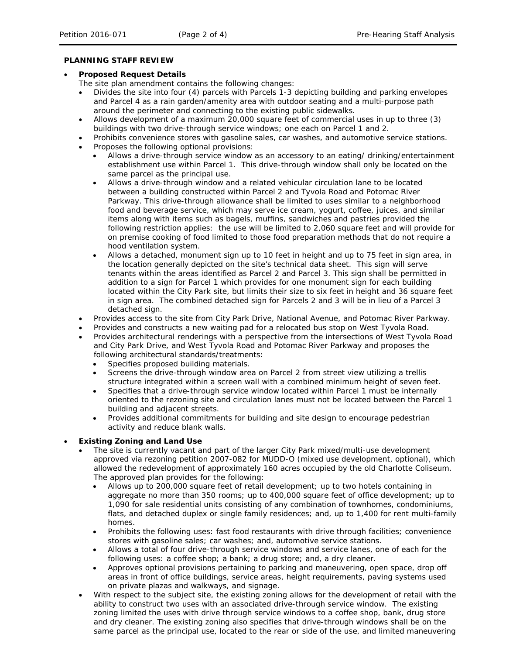#### **PLANNING STAFF REVIEW**

#### • **Proposed Request Details**

The site plan amendment contains the following changes:

- Divides the site into four (4) parcels with Parcels 1-3 depicting building and parking envelopes and Parcel 4 as a rain garden/amenity area with outdoor seating and a multi-purpose path around the perimeter and connecting to the existing public sidewalks.
- Allows development of a maximum 20,000 square feet of commercial uses in up to three (3) buildings with two drive-through service windows; one each on Parcel 1 and 2.
- Prohibits convenience stores with gasoline sales, car washes, and automotive service stations.
- Proposes the following optional provisions:
	- Allows a drive-through service window as an accessory to an eating/ drinking/entertainment establishment use within Parcel 1. This drive-through window shall only be located on the same parcel as the principal use.
	- Allows a drive-through window and a related vehicular circulation lane to be located between a building constructed within Parcel 2 and Tyvola Road and Potomac River Parkway. This drive-through allowance shall be limited to uses similar to a neighborhood food and beverage service, which may serve ice cream, yogurt, coffee, juices, and similar items along with items such as bagels, muffins, sandwiches and pastries provided the following restriction applies: the use will be limited to 2,060 square feet and will provide for on premise cooking of food limited to those food preparation methods that do not require a hood ventilation system.
	- Allows a detached, monument sign up to 10 feet in height and up to 75 feet in sign area, in the location generally depicted on the site's technical data sheet. This sign will serve tenants within the areas identified as Parcel 2 and Parcel 3. This sign shall be permitted in addition to a sign for Parcel 1 which provides for one monument sign for each building located within the City Park site, but limits their size to six feet in height and 36 square feet in sign area. The combined detached sign for Parcels 2 and 3 will be in lieu of a Parcel 3 detached sign.
- Provides access to the site from City Park Drive, National Avenue, and Potomac River Parkway.
- Provides and constructs a new waiting pad for a relocated bus stop on West Tyvola Road.
- Provides architectural renderings with a perspective from the intersections of West Tyvola Road and City Park Drive, and West Tyvola Road and Potomac River Parkway and proposes the following architectural standards/treatments:
	- Specifies proposed building materials.
	- Screens the drive-through window area on Parcel 2 from street view utilizing a trellis structure integrated within a screen wall with a combined minimum height of seven feet.
	- Specifies that a drive-through service window located within Parcel 1 must be internally oriented to the rezoning site and circulation lanes must not be located between the Parcel 1 building and adjacent streets.
	- Provides additional commitments for building and site design to encourage pedestrian activity and reduce blank walls.

#### • **Existing Zoning and Land Use**

- The site is currently vacant and part of the larger City Park mixed/multi-use development approved via rezoning petition 2007-082 for MUDD-O (mixed use development, optional), which allowed the redevelopment of approximately 160 acres occupied by the old Charlotte Coliseum. The approved plan provides for the following:
	- Allows up to 200,000 square feet of retail development; up to two hotels containing in aggregate no more than 350 rooms; up to 400,000 square feet of office development; up to 1,090 for sale residential units consisting of any combination of townhomes, condominiums, flats, and detached duplex or single family residences; and, up to 1,400 for rent multi-family homes.
	- Prohibits the following uses: fast food restaurants with drive through facilities; convenience stores with gasoline sales; car washes; and, automotive service stations.
	- Allows a total of four drive-through service windows and service lanes, one of each for the following uses: a coffee shop; a bank; a drug store; and, a dry cleaner.
	- Approves optional provisions pertaining to parking and maneuvering, open space, drop off areas in front of office buildings, service areas, height requirements, paving systems used on private plazas and walkways, and signage.
- With respect to the subject site, the existing zoning allows for the development of retail with the ability to construct two uses with an associated drive-through service window. The existing zoning limited the uses with drive through service windows to a coffee shop, bank, drug store and dry cleaner. The existing zoning also specifies that drive-through windows shall be on the same parcel as the principal use, located to the rear or side of the use, and limited maneuvering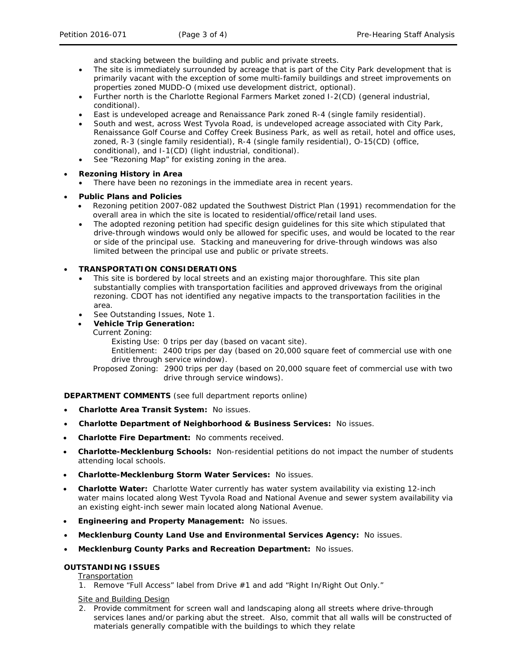and stacking between the building and public and private streets.

- The site is immediately surrounded by acreage that is part of the City Park development that is primarily vacant with the exception of some multi-family buildings and street improvements on properties zoned MUDD-O (mixed use development district, optional).
- Further north is the Charlotte Regional Farmers Market zoned I-2(CD) (general industrial, conditional).
- East is undeveloped acreage and Renaissance Park zoned R-4 (single family residential).
- South and west, across West Tyvola Road, is undeveloped acreage associated with City Park, Renaissance Golf Course and Coffey Creek Business Park, as well as retail, hotel and office uses, zoned, R-3 (single family residential), R-4 (single family residential), O-15(CD) (office, conditional), and I-1(CD) (light industrial, conditional).
- See "Rezoning Map" for existing zoning in the area.

# • **Rezoning History in Area**

• There have been no rezonings in the immediate area in recent years.

# • **Public Plans and Policies**

- Rezoning petition 2007-082 updated the *Southwest District Plan* (1991) recommendation for the overall area in which the site is located to residential/office/retail land uses.
- The adopted rezoning petition had specific design guidelines for this site which stipulated that drive-through windows would only be allowed for specific uses, and would be located to the rear or side of the principal use. Stacking and maneuvering for drive-through windows was also limited between the principal use and public or private streets.

# • **TRANSPORTATION CONSIDERATIONS**

- This site is bordered by local streets and an existing major thoroughfare. This site plan substantially complies with transportation facilities and approved driveways from the original rezoning. CDOT has not identified any negative impacts to the transportation facilities in the area.
- See Outstanding Issues, Note 1.
- **Vehicle Trip Generation:**
	- Current Zoning:

Existing Use: 0 trips per day (based on vacant site).

Entitlement: 2400 trips per day (based on 20,000 square feet of commercial use with one drive through service window).

Proposed Zoning: 2900 trips per day (based on 20,000 square feet of commercial use with two drive through service windows).

**DEPARTMENT COMMENTS** (see full department reports online)

- **Charlotte Area Transit System:** No issues.
- **Charlotte Department of Neighborhood & Business Services:** No issues.
- **Charlotte Fire Department:** No comments received.
- **Charlotte-Mecklenburg Schools:** Non-residential petitions do not impact the number of students attending local schools.
- **Charlotte-Mecklenburg Storm Water Services:** No issues.
- **Charlotte Water:** Charlotte Water currently has water system availability via existing 12-inch water mains located along West Tyvola Road and National Avenue and sewer system availability via an existing eight-inch sewer main located along National Avenue.
- **Engineering and Property Management:** No issues.
- **Mecklenburg County Land Use and Environmental Services Agency:** No issues.
- **Mecklenburg County Parks and Recreation Department:** No issues.

## **OUTSTANDING ISSUES**

**Transportation** 

1. Remove "Full Access" label from Drive #1 and add "Right In/Right Out Only."

Site and Building Design

2. Provide commitment for screen wall and landscaping along all streets where drive-through services lanes and/or parking abut the street. Also, commit that all walls will be constructed of materials generally compatible with the buildings to which they relate